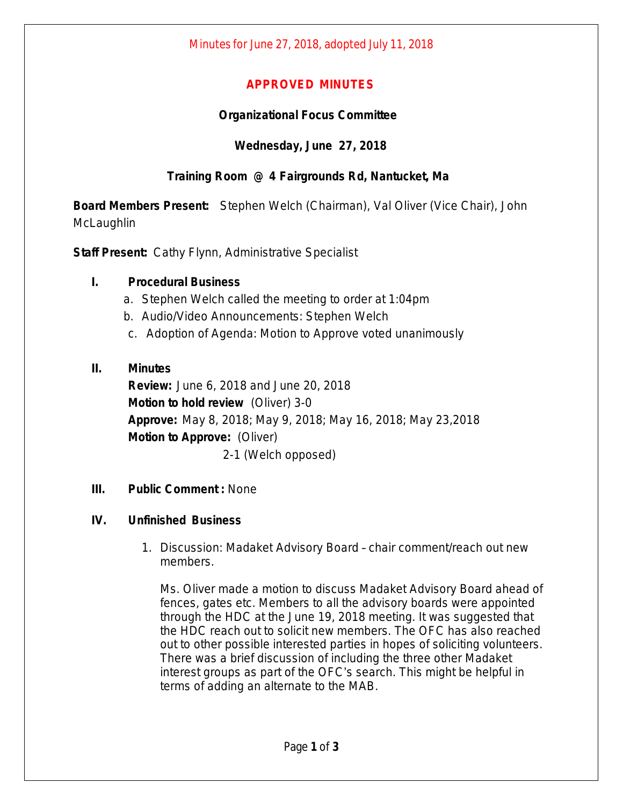## **APPROVED MINUTES**

## **Organizational Focus Committee**

## **Wednesday, June 27, 2018**

# **Training Room @ 4 Fairgrounds Rd, Nantucket, Ma**

**Board Members Present:** Stephen Welch (Chairman), Val Oliver (Vice Chair), John **McLaughlin** 

**Staff Present:** Cathy Flynn, Administrative Specialist

## **I. Procedural Business**

- a. Stephen Welch called the meeting to order at 1:04pm
- b. Audio/Video Announcements: Stephen Welch
- c. Adoption of Agenda: Motion to Approve voted unanimously

## **II. Minutes**

**Review:** June 6, 2018 and June 20, 2018 **Motion to hold review** (Oliver) 3-0 **Approve:** May 8, 2018; May 9, 2018; May 16, 2018; May 23,2018 **Motion to Approve:** (Oliver) 2-1 (Welch opposed)

**III. Public Comment :** None

#### **IV. Unfinished Business**

1. Discussion: Madaket Advisory Board – chair comment/reach out new members.

Ms. Oliver made a motion to discuss Madaket Advisory Board ahead of fences, gates etc. Members to all the advisory boards were appointed through the HDC at the June 19, 2018 meeting. It was suggested that the HDC reach out to solicit new members. The OFC has also reached out to other possible interested parties in hopes of soliciting volunteers. There was a brief discussion of including the three other Madaket interest groups as part of the OFC's search. This might be helpful in terms of adding an alternate to the MAB.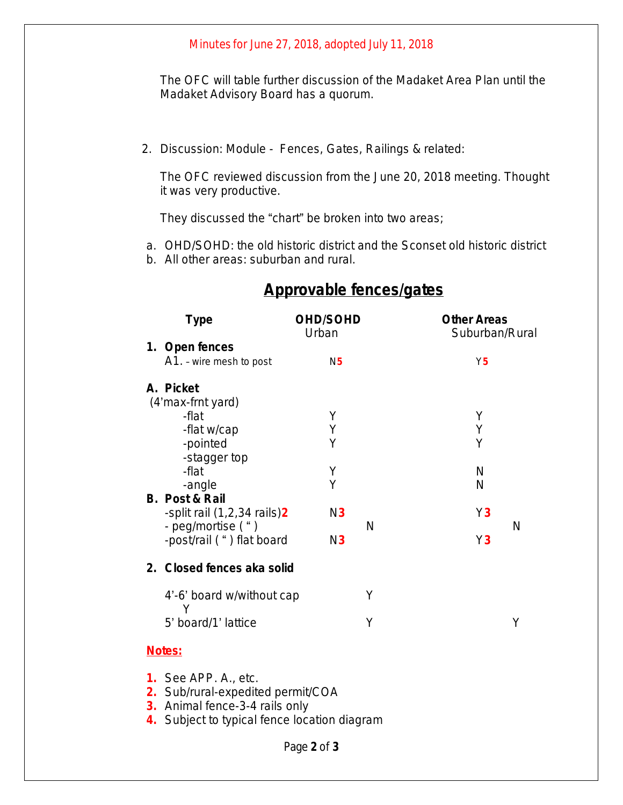#### Minutes for June 27, 2018, adopted July 11, 2018

The OFC will table further discussion of the Madaket Area Plan until the Madaket Advisory Board has a quorum.

2. Discussion: Module - Fences, Gates, Railings & related:

The OFC reviewed discussion from the June 20, 2018 meeting. Thought it was very productive.

They discussed the "chart" be broken into two areas;

a. OHD/SOHD: the old historic district and the Sconset old historic district

b. All other areas: suburban and rural.

| <b>Type</b>                                                                                                                                        | <b>OHD/SOHD</b><br>Urban |   | <b>Other Areas</b><br>Suburban/Rural |   |
|----------------------------------------------------------------------------------------------------------------------------------------------------|--------------------------|---|--------------------------------------|---|
| 1. Open fences                                                                                                                                     |                          |   |                                      |   |
| A1. - wire mesh to post                                                                                                                            | N <sub>5</sub>           |   | Y <sub>5</sub>                       |   |
| A. Picket<br>(4'max-frnt yard)                                                                                                                     |                          |   |                                      |   |
| -flat                                                                                                                                              | Υ                        |   | Υ                                    |   |
| -flat w/cap                                                                                                                                        | Υ                        |   | Υ<br>Υ                               |   |
| -pointed<br>-stagger top                                                                                                                           | Υ                        |   |                                      |   |
| -flat                                                                                                                                              | Υ                        |   | N                                    |   |
| -angle                                                                                                                                             | Υ                        |   | N                                    |   |
| <b>B. Post &amp; Rail</b>                                                                                                                          |                          |   |                                      |   |
| -split rail (1,2,34 rails) <sup>2</sup>                                                                                                            | N3                       |   | Y3                                   |   |
| - peg/mortise (")                                                                                                                                  |                          | N |                                      | N |
| -post/rail (") flat board                                                                                                                          | N3                       |   | Y3                                   |   |
| 2. Closed fences aka solid                                                                                                                         |                          |   |                                      |   |
| 4'-6' board w/without cap<br>Υ                                                                                                                     |                          | Υ |                                      |   |
| 5' board/1' lattice                                                                                                                                |                          | Υ |                                      | Υ |
| Notes:                                                                                                                                             |                          |   |                                      |   |
| <b>1.</b> See APP. A., etc.<br>2. Sub/rural-expedited permit/COA<br>3. Animal fence-3-4 rails only<br>4. Subject to typical fence location diagram |                          |   |                                      |   |
|                                                                                                                                                    |                          |   |                                      |   |

# **Approvable fences/gates**

Page **2** of **3**